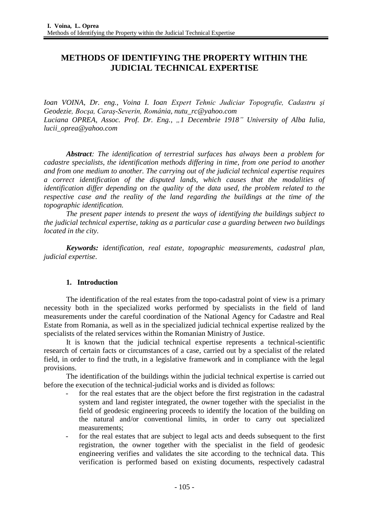# **METHODS OF IDENTIFYING THE PROPERTY WITHIN THE JUDICIAL TECHNICAL EXPERTISE**

*Ioan VOINA, Dr. eng., Voina I. Ioan Expert Tehnic Judiciar Topografie, Cadastru şi Geodezie, Bocşa, Caraş-Severin, România, [nutu\\_rc@yahoo.com](mailto:nutu_rc@yahoo.com) Luciana OPREA, Assoc. Prof. Dr. Eng., "1 Decembrie 1918" University of Alba Iulia, lucii\_oprea@yahoo.com*

*Abstract: The identification of terrestrial surfaces has always been a problem for cadastre specialists, the identification methods differing in time, from one period to another and from one medium to another. The carrying out of the judicial technical expertise requires a correct identification of the disputed lands, which causes that the modalities of identification differ depending on the quality of the data used, the problem related to the respective case and the reality of the land regarding the buildings at the time of the topographic identification.*

*The present paper intends to present the ways of identifying the buildings subject to the judicial technical expertise, taking as a particular case a guarding between two buildings located in the city.*

*Keywords: identification, real estate, topographic measurements, cadastral plan, judicial expertise.*

## **1. Introduction**

The identification of the real estates from the topo-cadastral point of view is a primary necessity both in the specialized works performed by specialists in the field of land measurements under the careful coordination of the National Agency for Cadastre and Real Estate from Romania, as well as in the specialized judicial technical expertise realized by the specialists of the related services within the Romanian Ministry of Justice.

It is known that the judicial technical expertise represents a technical-scientific research of certain facts or circumstances of a case, carried out by a specialist of the related field, in order to find the truth, in a legislative framework and in compliance with the legal provisions.

The identification of the buildings within the judicial technical expertise is carried out before the execution of the technical-judicial works and is divided as follows:

- for the real estates that are the object before the first registration in the cadastral system and land register integrated, the owner together with the specialist in the field of geodesic engineering proceeds to identify the location of the building on the natural and/or conventional limits, in order to carry out specialized measurements;
- for the real estates that are subject to legal acts and deeds subsequent to the first registration, the owner together with the specialist in the field of geodesic engineering verifies and validates the site according to the technical data. This verification is performed based on existing documents, respectively cadastral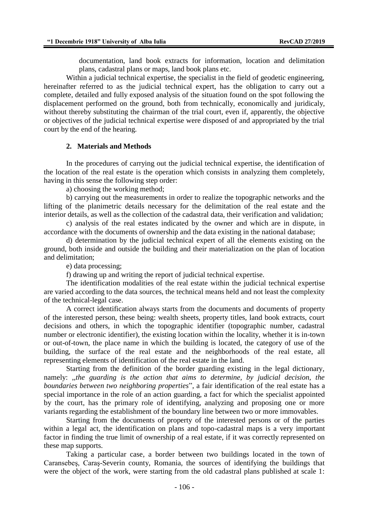documentation, land book extracts for information, location and delimitation plans, cadastral plans or maps, land book plans etc.

Within a judicial technical expertise, the specialist in the field of geodetic engineering, hereinafter referred to as the judicial technical expert, has the obligation to carry out a complete, detailed and fully exposed analysis of the situation found on the spot following the displacement performed on the ground, both from technically, economically and juridicaly, without thereby substituting the chairman of the trial court, even if, apparently, the objective or objectives of the judicial technical expertise were disposed of and appropriated by the trial court by the end of the hearing.

## **2. Materials and Methods**

In the procedures of carrying out the judicial technical expertise, the identification of the location of the real estate is the operation which consists in analyzing them completely, having in this sense the following step order:

a) choosing the working method;

b) carrying out the measurements in order to realize the topographic networks and the lifting of the planimetric details necessary for the delimitation of the real estate and the interior details, as well as the collection of the cadastral data, their verification and validation;

c) analysis of the real estates indicated by the owner and which are in dispute, in accordance with the documents of ownership and the data existing in the national database;

d) determination by the judicial technical expert of all the elements existing on the ground, both inside and outside the building and their materialization on the plan of location and delimitation;

e) data processing;

f) drawing up and writing the report of judicial technical expertise.

The identification modalities of the real estate within the judicial technical expertise are varied according to the data sources, the technical means held and not least the complexity of the technical-legal case.

A correct identification always starts from the documents and documents of property of the interested person, these being: wealth sheets, property titles, land book extracts, court decisions and others, in which the topographic identifier (topographic number, cadastral number or electronic identifier), the existing location within the locality, whether it is in-town or out-of-town, the place name in which the building is located, the category of use of the building, the surface of the real estate and the neighborhoods of the real estate, all representing elements of identification of the real estate in the land.

Starting from the definition of the border guarding existing in the legal dictionary, namely: *,,the guarding is the action that aims to determine, by judicial decision, the boundaries between two neighboring properties*", a fair identification of the real estate has a special importance in the role of an action guarding, a fact for which the specialist appointed by the court, has the primary role of identifying, analyzing and proposing one or more variants regarding the establishment of the boundary line between two or more immovables.

Starting from the documents of property of the interested persons or of the parties within a legal act, the identification on plans and topo-cadastral maps is a very important factor in finding the true limit of ownership of a real estate, if it was correctly represented on these map supports.

Taking a particular case, a border between two buildings located in the town of Caransebeş, Caraş-Severin county, Romania, the sources of identifying the buildings that were the object of the work, were starting from the old cadastral plans published at scale 1: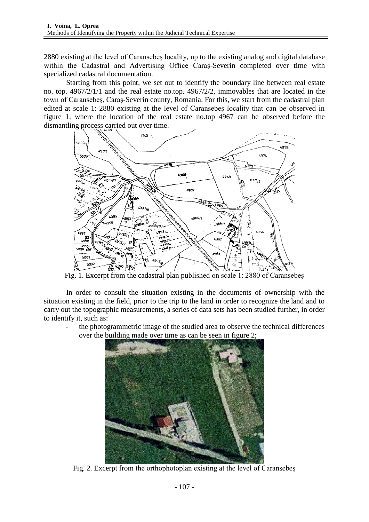2880 existing at the level of Caransebeş locality, up to the existing analog and digital database within the Cadastral and Advertising Office Caraş-Severin completed over time with specialized cadastral documentation.

Starting from this point, we set out to identify the boundary line between real estate no. top. 4967/2/1/1 and the real estate no.top. 4967/2/2, immovables that are located in the town of Caransebeş, Caraş-Severin county, Romania. For this, we start from the cadastral plan edited at scale 1: 2880 existing at the level of Caransebeş locality that can be observed in figure 1, where the location of the real estate no.top 4967 can be observed before the dismantling process carried out over time.



Fig. 1. Excerpt from the cadastral plan published on scale 1: 2880 of Caransebeş

In order to consult the situation existing in the documents of ownership with the situation existing in the field, prior to the trip to the land in order to recognize the land and to carry out the topographic measurements, a series of data sets has been studied further, in order to identify it, such as:

the photogrammetric image of the studied area to observe the technical differences over the building made over time as can be seen in figure 2;



Fig. 2. Excerpt from the orthophotoplan existing at the level of Caransebeş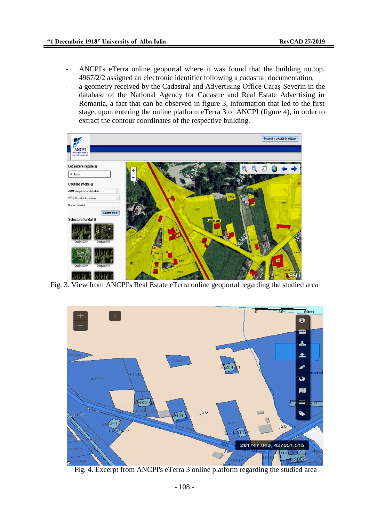- ANCPI's eTerra online geoportal where it was found that the building no.top. 4967/2/2 assigned an electronic identifier following a cadastral documentation;
- a geometry received by the Cadastral and Advertising Office Caras-Severin in the database of the National Agency for Cadastre and Real Estate Advertising in Romania, a fact that can be observed in figure 3, information that led to the first stage, upon entering the online platform eTerra 3 of ANCPI (figure 4), in order to extract the contour coordinates of the respective building.



Fig. 3. View from ANCPI's Real Estate eTerra online geoportal regarding the studied area



Fig. 4. Excerpt from ANCPI's eTerra 3 online platform regarding the studied area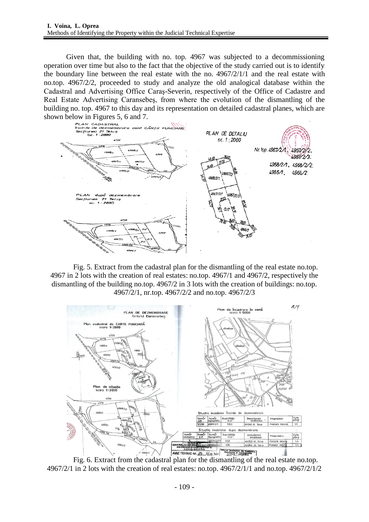Given that, the building with no. top. 4967 was subjected to a decommissioning operation over time but also to the fact that the objective of the study carried out is to identify the boundary line between the real estate with the no. 4967/2/1/1 and the real estate with no.top. 4967/2/2, proceeded to study and analyze the old analogical database within the Cadastral and Advertising Office Caraş-Severin, respectively of the Office of Cadastre and Real Estate Advertising Caransebeş, from where the evolution of the dismantling of the building no. top. 4967 to this day and its representation on detailed cadastral planes, which are



Fig. 5. Extract from the cadastral plan for the dismantling of the real estate no.top. 4967 in 2 lots with the creation of real estates: no.top. 4967/1 and 4967/2, respectively the dismantling of the building no.top. 4967/2 in 3 lots with the creation of buildings: no.top. 4967/2/1, nr.top. 4967/2/2 and no.top. 4967/2/3



4967/2/1 in 2 lots with the creation of real estates: no.top. 4967/2/1/1 and no.top. 4967/2/1/2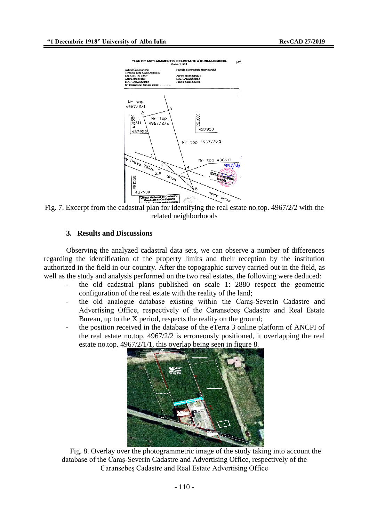

Fig. 7. Excerpt from the cadastral plan for identifying the real estate no.top. 4967/2/2 with the related neighborhoods

#### **3. Results and Discussions**

Observing the analyzed cadastral data sets, we can observe a number of differences regarding the identification of the property limits and their reception by the institution authorized in the field in our country. After the topographic survey carried out in the field, as well as the study and analysis performed on the two real estates, the following were deduced:

- the old cadastral plans published on scale 1: 2880 respect the geometric configuration of the real estate with the reality of the land;
- the old analogue database existing within the Caraş-Severin Cadastre and Advertising Office, respectively of the Caransebeş Cadastre and Real Estate Bureau, up to the X period, respects the reality on the ground;
- the position received in the database of the eTerra 3 online platform of ANCPI of the real estate no.top. 4967/2/2 is erroneously positioned, it overlapping the real estate no.top. 4967/2/1/1, this overlap being seen in figure 8.



Fig. 8. Overlay over the photogrammetric image of the study taking into account the database of the Caraş-Severin Cadastre and Advertising Office, respectively of the Caransebeş Cadastre and Real Estate Advertising Office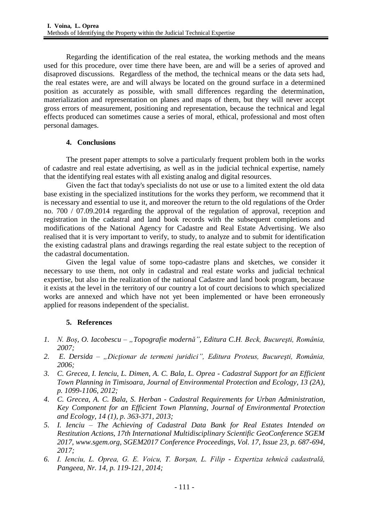Regarding the identification of the real estatea, the working methods and the means used for this procedure, over time there have been, are and will be a series of aproved and disaproved discussions. Regardless of the method, the technical means or the data sets had, the real estates were, are and will always be located on the ground surface in a determined position as accurately as possible, with small differences regarding the determination, materialization and representation on planes and maps of them, but they will never accept gross errors of measurement, positioning and representation, because the technical and legal effects produced can sometimes cause a series of moral, ethical, professional and most often personal damages.

# **4. Conclusions**

The present paper attempts to solve a particularly frequent problem both in the works of cadastre and real estate advertising, as well as in the judicial technical expertise, namely that the identifying real estates with all existing analog and digital resources.

Given the fact that today's specialists do not use or use to a limited extent the old data base existing in the specialized institutions for the works they perform, we recommend that it is necessary and essential to use it, and moreover the return to the old regulations of the Order no. 700 / 07.09.2014 regarding the approval of the regulation of approval, reception and registration in the cadastral and land book records with the subsequent completions and modifications of the National Agency for Cadastre and Real Estate Advertising. We also realised that it is very important to verify, to study, to analyze and to submit for identification the existing cadastral plans and drawings regarding the real estate subject to the reception of the cadastral documentation.

Given the legal value of some topo-cadastre plans and sketches, we consider it necessary to use them, not only in cadastral and real estate works and judicial technical expertise, but also in the realization of the national Cadastre and land book program, because it exists at the level in the territory of our country a lot of court decisions to which specialized works are annexed and which have not yet been implemented or have been erroneously applied for reasons independent of the specialist.

# **5. References**

- *1. N. Boș, O. Iacobescu – "Topografie modernă", Editura C.H. Beck, Bucureşti, România, 2007;*
- *2. E. Dersida – "Dicţionar de termeni juridici", Editura Proteus, Bucureşti, România, 2006;*
- *3. C. Grecea, I. Ienciu, L. Dimen, A. C. Bala, L. Oprea - Cadastral Support for an Efficient Town Planning in Timisoara, Journal of Environmental Protection and Ecology, 13 (2A), p. 1099-1106, 2012;*
- *4. C. Grecea, A. C. Bala, S. Herban - Cadastral Requirements for Urban Administration, Key Component for an Efficient Town Planning, Journal of Environmental Protection and Ecology, 14 (1), p. 363-371, 2013;*
- *5. I. Ienciu – The Achieving of Cadastral Data Bank for Real Estates Intended on Restitution Actions, 17th International Multidisciplinary Scientific GeoConference SGEM 2017, [www.sgem.org,](http://www.sgem.org/) SGEM2017 Conference Proceedings, Vol. 17, Issue 23, p. 687-694, 2017;*
- *6. I. Ienciu, L. Oprea, G. E. Voicu, T. Borşan, L. Filip - Expertiza tehnică cadastrală, Pangeea, Nr. 14, p. 119-121, 2014;*